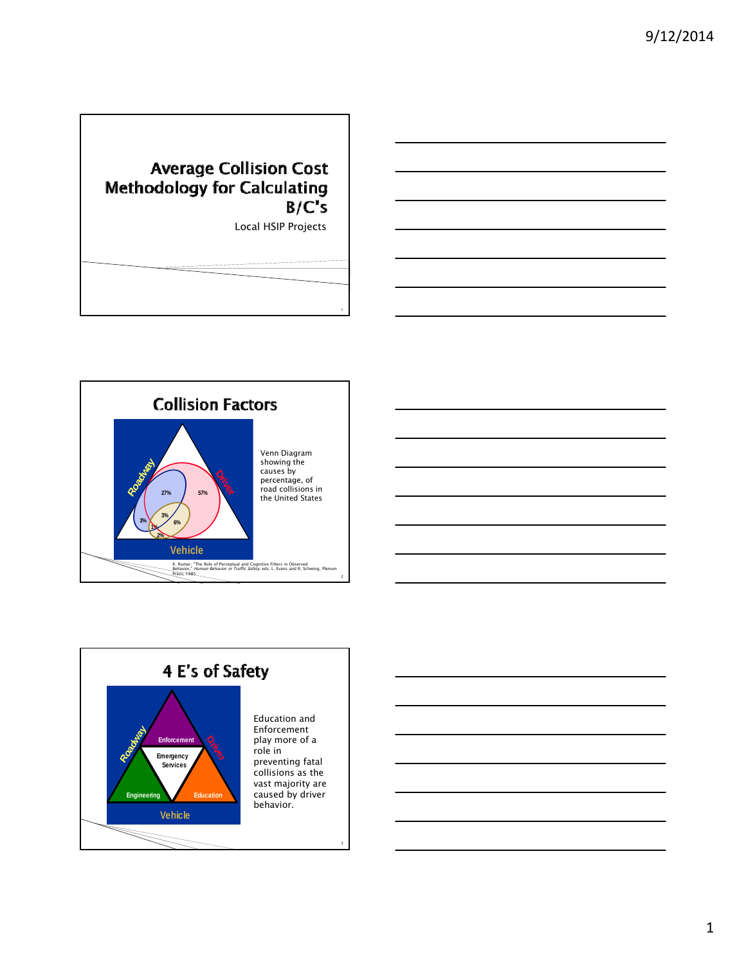## **Average Collision Cost** Methodology for Calculating  $B/C's$

Local HSIP Projects



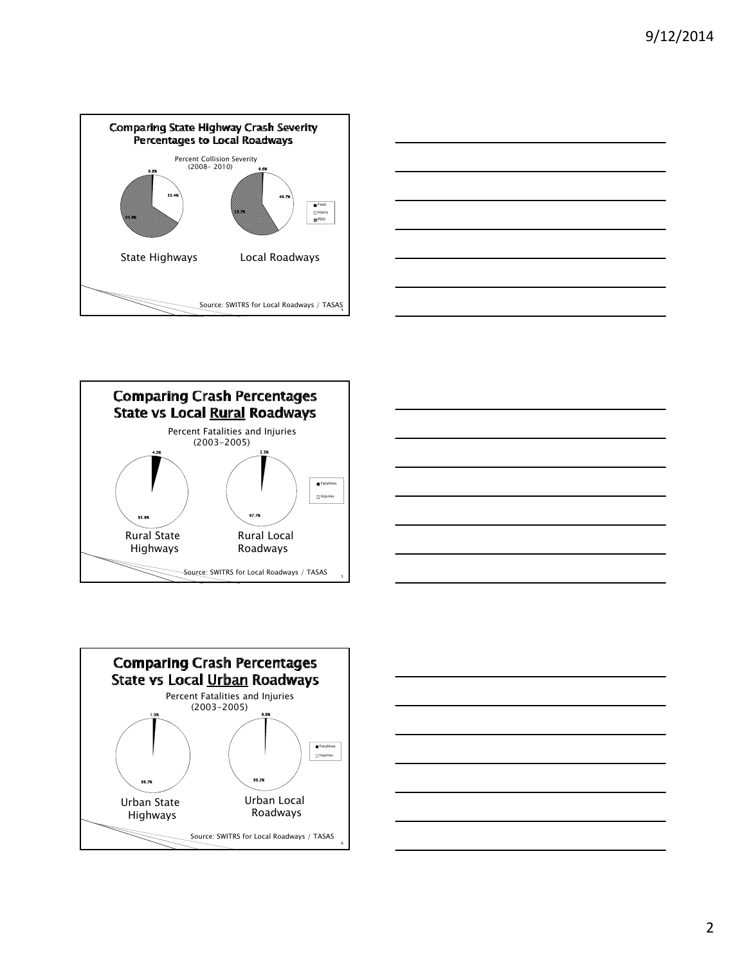









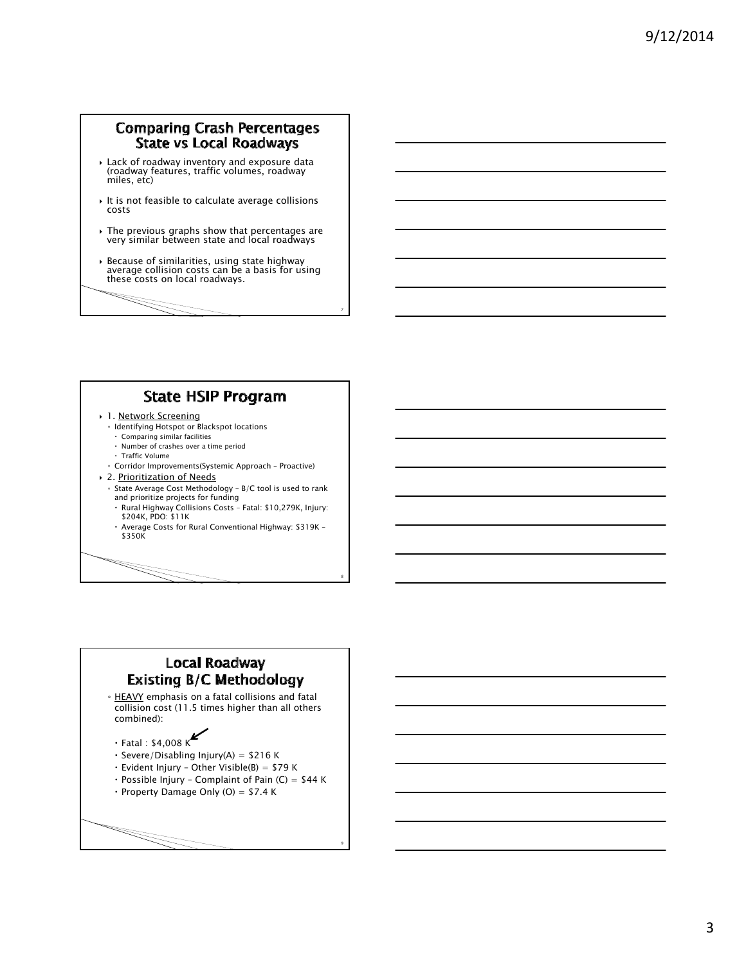#### **Comparing Crash Percentages State vs Local Roadways**

- Lack of roadway inventory and exposure data (roadway features, traffic volumes, roadway miles, etc)
- $\rightarrow$  It is not feasible to calculate average collisions costs
- The previous graphs show that percentages are very similar between state and local roadways
- Because of similarities, using state highway average collision costs can be a basis for using these costs on local roadways.

7

8

9

# **State HSIP Program**

- 1. Network Screening
	- Identifying Hotspot or Blackspot locations
	- Comparing similar facilities Number of crashes over a time period
	- Traffic Volume
	- Corridor Improvements(Systemic Approach Proactive)
- 2. Prioritization of Needs
	- State Average Cost Methodology B/C tool is used to rank
	- and prioritize projects for funding Rural Highway Collisions Costs – Fatal: \$10,279K, Injury: \$204K, PDO: \$11K
	- Average Costs for Rural Conventional Highway: \$319K \$350K

#### **Local Roadway Existing B/C Methodology**

◦ HEAVY emphasis on a fatal collisions and fatal collision cost (11.5 times higher than all others combined):

- $\cdot$  Fatal : \$4,008 K
- $\cdot$  Severe/Disabling Injury(A) = \$216 K
- $\cdot$  Evident Injury Other Visible(B) = \$79 K
- $\cdot$  Possible Injury Complaint of Pain (C) = \$44 K
- Property Damage Only (O) =  $$7.4 K$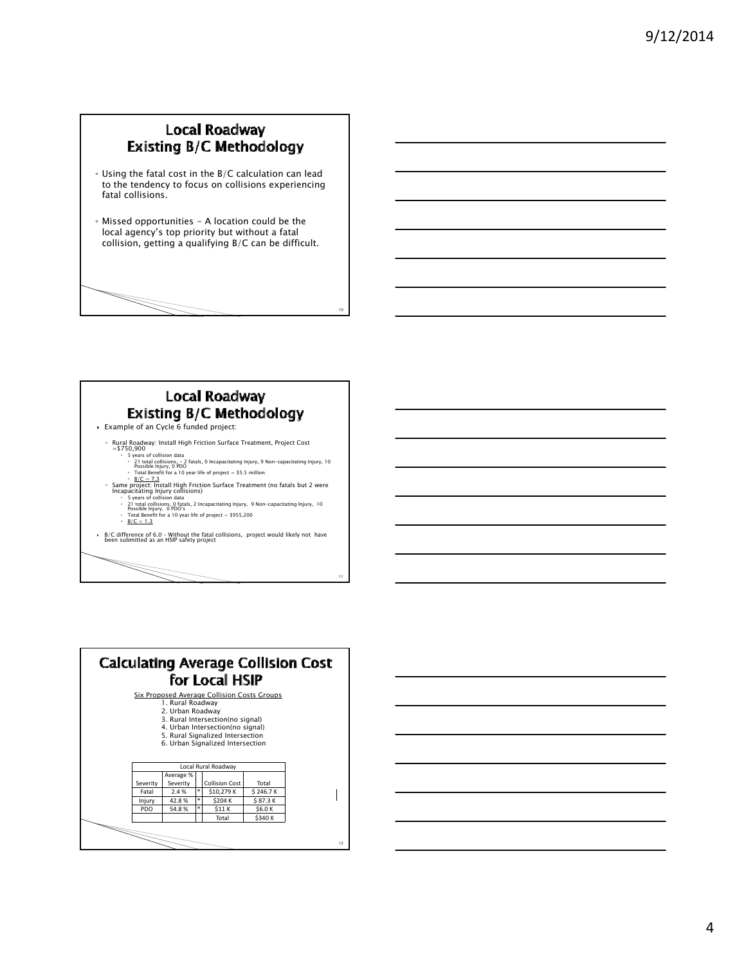#### Local Roadway **Existing B/C Methodology**

- Using the fatal cost in the B/C calculation can lead to the tendency to focus on collisions experiencing fatal collisions.
- Missed opportunities A location could be the local agency's top priority but without a fatal collision, getting a qualifying B/C can be difficult.

## Local Roadway **Existing B/C Methodology**

10

11

- Example of an Cycle 6 funded project:
	- Rural Roadway: Install High Friction Surface Treatment, Project Cost
	- = 5750,900<br>
	System of Collisions data<br>
	21 total collisions,  $-2$  fatals, 0 Incapacitating Injury, 9 Non-capacitating Injury, 10<br>
	Possible Injury, 0 PDO<br>
	Total Benefit for a 10 year life of project = 55.5 million<br>
	5. Exame
		-
		-
	- -
	- $\cdot$  Total Berne...<br> $\cdot$  <u>B/C = 1.3</u>
- B/C difference of 6.0 Without the fatal collisions, project would likely not have been submitted as an HSIP safety project

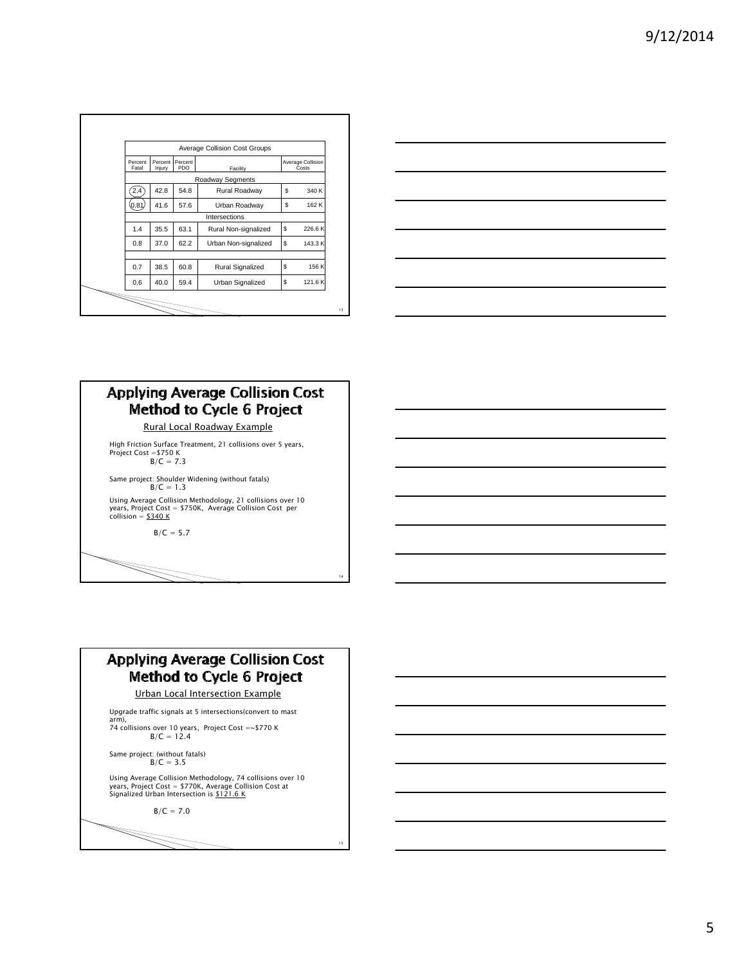|                  | Average Collision Cost Groups |                |                      |                            |        |  |
|------------------|-------------------------------|----------------|----------------------|----------------------------|--------|--|
| Percent<br>Fatal | Percent<br>Iniury             | Percent<br>PDO | Facility             | Average Collision<br>Costs |        |  |
|                  | Roadway Segments              |                |                      |                            |        |  |
| 2.4              | 42.8                          | 54.8           | Rural Roadway        | \$                         | 340 K  |  |
| 0.81             | 41.6                          | 57.6           | Urban Roadway        | \$                         | 162 K  |  |
|                  | Intersections                 |                |                      |                            |        |  |
| 1.4              | 35.5                          | 63.1           | Rural Non-signalized | S                          | 226.6K |  |
| 0.8              | 37.0                          | 62.2           | Urban Non-signalized | S                          | 143.3K |  |
|                  |                               |                |                      |                            |        |  |
| 0.7              | 38.5                          | 60.8           | Rural Signalized     | S                          | 156 K  |  |
| 0.6              | 40.0                          | 59.4           | Urban Signalized     | \$                         | 121.6K |  |



### **Applying Average Collision Cost Method to Cycle 6 Project** Rural Local Roadway Example

High Friction Surface Treatment, 21 collisions over 5 years, Project Cost =\$750 K B/C = 7.3

Same project: Shoulder Widening (without fatals)  $B/C = 1.3$ 

Using Average Collision Methodology, 21 collisions over 10<br>years, Project Cost = \$750K, Average Collision Cost per<br>collision = <u>\$340 K</u>

 $B/C = 5.7$ 

## **Applying Average Collision Cost Method to Cycle 6 Project**

14

15

Urban Local Intersection Example

Upgrade traffic signals at 5 intersections(convert to mast

arm), 74 collisions over 10 years, Project Cost =~\$770 K B/C = 12.4

Same project: (without fatals) B/C = 3.5

Using Average Collision Methodology, 74 collisions over 10<br>years, Project Cost = \$770K, Average Collision Cost at<br>Signalized Urban Intersection is <u>\$121.6 K</u>

 $B/C = 7.0$